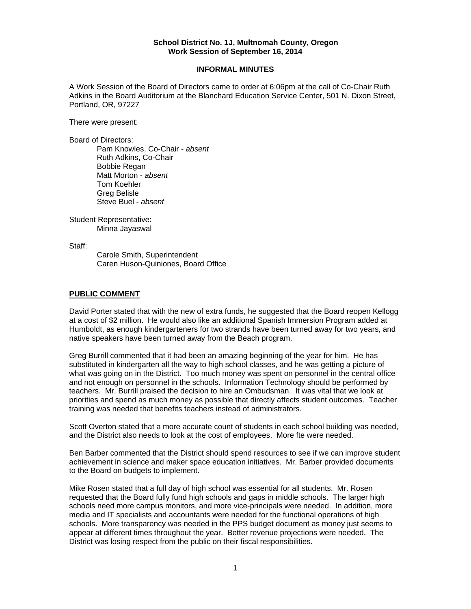#### **School District No. 1J, Multnomah County, Oregon Work Session of September 16, 2014**

#### **INFORMAL MINUTES**

A Work Session of the Board of Directors came to order at 6:06pm at the call of Co-Chair Ruth Adkins in the Board Auditorium at the Blanchard Education Service Center, 501 N. Dixon Street, Portland, OR, 97227

There were present:

Board of Directors:

Pam Knowles, Co-Chair - *absent*  Ruth Adkins, Co-Chair Bobbie Regan Matt Morton - *absent*  Tom Koehler Greg Belisle Steve Buel - *absent* 

Student Representative: Minna Jayaswal

Staff:

 Carole Smith, Superintendent Caren Huson-Quiniones, Board Office

## **PUBLIC COMMENT**

David Porter stated that with the new of extra funds, he suggested that the Board reopen Kellogg at a cost of \$2 million. He would also like an additional Spanish Immersion Program added at Humboldt, as enough kindergarteners for two strands have been turned away for two years, and native speakers have been turned away from the Beach program.

Greg Burrill commented that it had been an amazing beginning of the year for him. He has substituted in kindergarten all the way to high school classes, and he was getting a picture of what was going on in the District. Too much money was spent on personnel in the central office and not enough on personnel in the schools. Information Technology should be performed by teachers. Mr. Burrill praised the decision to hire an Ombudsman. It was vital that we look at priorities and spend as much money as possible that directly affects student outcomes. Teacher training was needed that benefits teachers instead of administrators.

Scott Overton stated that a more accurate count of students in each school building was needed, and the District also needs to look at the cost of employees. More fte were needed.

Ben Barber commented that the District should spend resources to see if we can improve student achievement in science and maker space education initiatives. Mr. Barber provided documents to the Board on budgets to implement.

Mike Rosen stated that a full day of high school was essential for all students. Mr. Rosen requested that the Board fully fund high schools and gaps in middle schools. The larger high schools need more campus monitors, and more vice-principals were needed. In addition, more media and IT specialists and accountants were needed for the functional operations of high schools. More transparency was needed in the PPS budget document as money just seems to appear at different times throughout the year. Better revenue projections were needed. The District was losing respect from the public on their fiscal responsibilities.